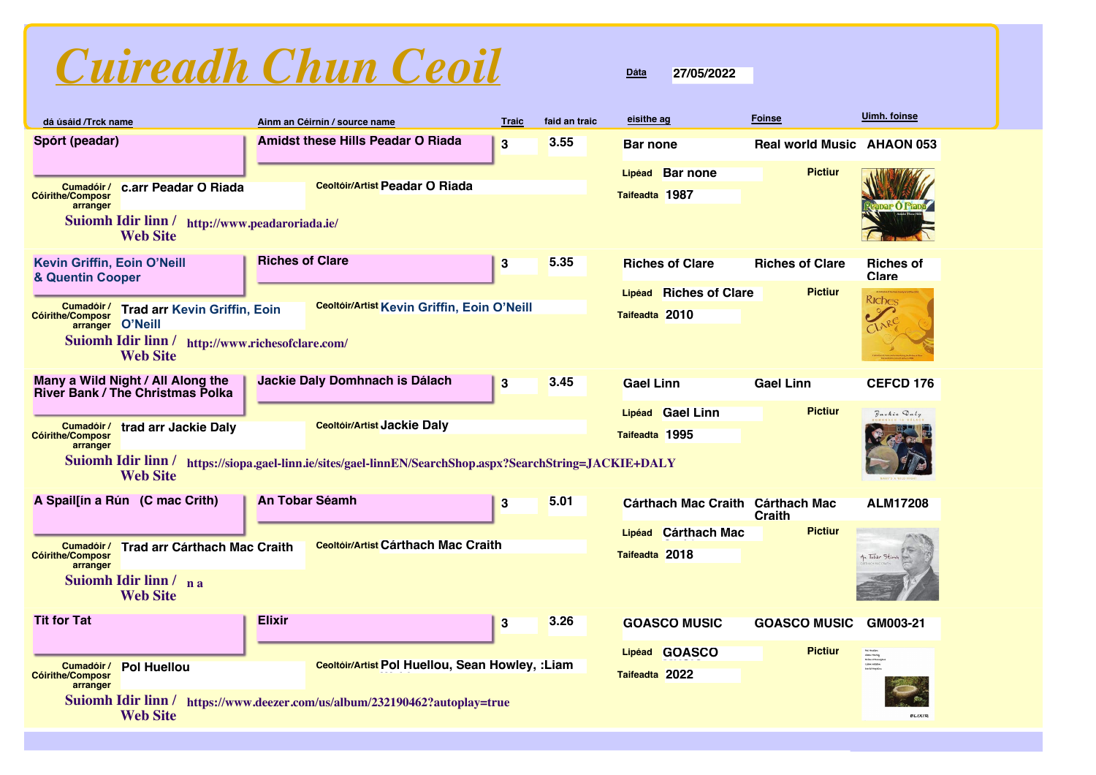# *Cuireadh Chun Ceoil*

| dá úsáid /Trck name                                       |                                                                              |                        | Ainm an Céirnín / source name                                                                            | <b>Traic</b>            | faid an traic | eisithe ag       |                                  | <b>Foinse</b>                     | Uimh. foinse                                                           |
|-----------------------------------------------------------|------------------------------------------------------------------------------|------------------------|----------------------------------------------------------------------------------------------------------|-------------------------|---------------|------------------|----------------------------------|-----------------------------------|------------------------------------------------------------------------|
| Spórt (peadar)                                            |                                                                              |                        | <b>Amidst these Hills Peadar O Riada</b>                                                                 | 3                       | 3.55          | <b>Bar none</b>  |                                  | <b>Real world Music AHAON 053</b> |                                                                        |
| Cumadóir /<br><b>Cóirithe/Composr</b><br>arranger         | c.arr Peadar O Riada                                                         |                        | Ceoltóir/Artist Peadar O Riada                                                                           |                         |               | Taifeadta 1987   | Lipéad Bar none                  | <b>Pictiur</b>                    |                                                                        |
|                                                           | Suiomh Idir linn / http://www.peadaroriada.ie/<br><b>Web Site</b>            |                        |                                                                                                          |                         |               |                  |                                  |                                   |                                                                        |
| Kevin Griffin, Eoin O'Neill<br>& Quentin Cooper           |                                                                              | <b>Riches of Clare</b> |                                                                                                          | 3                       | 5.35          |                  | <b>Riches of Clare</b>           | <b>Riches of Clare</b>            | <b>Riches of</b><br><b>Clare</b>                                       |
| Cumadóir /<br><b>Cóirithe/Composr</b><br>arranger O'Neill | <b>Trad arr Kevin Griffin, Eoin</b>                                          |                        | Ceoltóir/Artist Kevin Griffin, Eoin O'Neill                                                              |                         |               | Taifeadta 2010   | Lipéad Riches of Clare           | <b>Pictiur</b>                    | $R$ iches                                                              |
|                                                           | Suiomh Idir linn / http://www.richesofclare.com/<br><b>Web Site</b>          |                        |                                                                                                          |                         |               |                  |                                  |                                   |                                                                        |
|                                                           | Many a Wild Night / All Along the<br><b>River Bank / The Christmas Polka</b> |                        | Jackie Daly Domhnach is Dálach                                                                           | $\overline{\mathbf{3}}$ | 3.45          | <b>Gael Linn</b> |                                  | <b>Gael Linn</b>                  | <b>CEFCD 176</b>                                                       |
| <b>Cóirithe/Composr</b>                                   | Cumadóir / trad arr Jackie Daly                                              |                        | <b>Ceoltóir/Artist Jackie Daly</b>                                                                       |                         |               | Taifeadta 1995   | Lipéad Gael Linn                 | <b>Pictiur</b>                    | Packie Daly                                                            |
| arranger                                                  | <b>Web Site</b>                                                              |                        | Suiomh Idir linn / https://siopa.gael-linn.ie/sites/gael-linnEN/SearchShop.aspx?SearchString=JACKIE+DALY |                         |               |                  |                                  |                                   |                                                                        |
|                                                           | A Spail [in a Run (C mac Crith)                                              | <b>An Tobar Séamh</b>  |                                                                                                          | 3                       | 5.01          |                  | Cárthach Mac Craith Cárthach Mac | Craith                            | <b>ALM17208</b>                                                        |
|                                                           |                                                                              |                        | <b>Ceoltóir/Artist Cárthach Mac Craith</b>                                                               |                         |               |                  | Lipéad Cárthach Mac              | <b>Pictiur</b>                    |                                                                        |
| Cumadóir /<br><b>Cóirithe/Composr</b><br>arranger         | <b>Trad arr Cárthach Mac Craith</b>                                          |                        |                                                                                                          |                         |               | Taifeadta 2018   |                                  |                                   | An Tobar Séimh                                                         |
|                                                           | Suiomh Idir linn / n a<br><b>Web Site</b>                                    |                        |                                                                                                          |                         |               |                  |                                  |                                   |                                                                        |
| <b>Tit for Tat</b>                                        |                                                                              | <b>Elixir</b>          |                                                                                                          | $\bf{3}$                | 3.26          |                  | <b>GOASCO MUSIC</b>              | <b>GOASCO MUSIC</b>               | GM003-21                                                               |
| Cumadóir /<br><b>Cóirithe/Composr</b><br>arranger         | <b>Pol Huellou</b>                                                           |                        | Ceoltóir/Artist Pol Huellou, Sean Howley, :Liam                                                          |                         |               | Taifeadta 2022   | Lipéad GOASCO                    | <b>Pictiur</b>                    | Selin Howley<br>Brian O'Donoghue<br>Liam Wildow<br><b>David Hopkin</b> |
|                                                           | <b>Suiomh Idir linn/</b><br><b>Web Site</b>                                  |                        | https://www.deezer.com/us/album/232190462?autoplay=true                                                  |                         |               |                  |                                  |                                   | <b>ELIXIR</b>                                                          |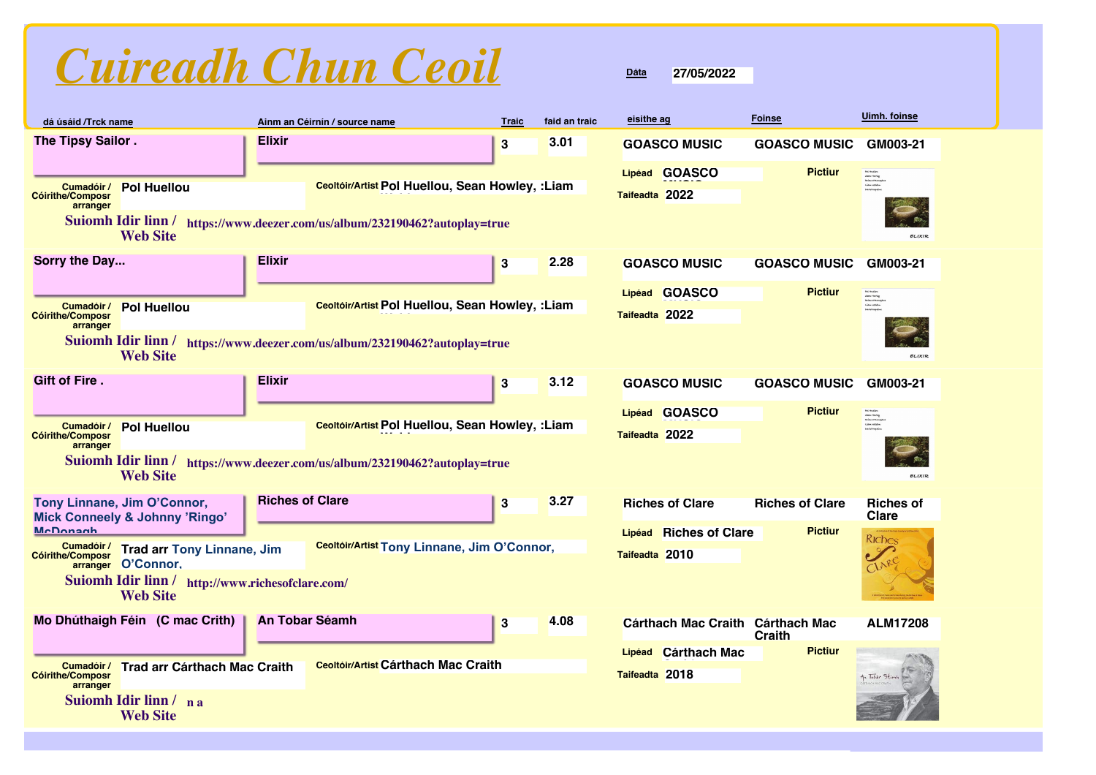|  | Cuireadh Chun Ceoil |  |  |  |
|--|---------------------|--|--|--|
|--|---------------------|--|--|--|

| dá úsáid /Trck name                               |                                                                                  |                        | Ainm an Céirnín / source name                                              | <b>Traic</b> | faid an traic | eisithe ag                       | <b>Foinse</b>          | <b>Uimh.</b> foinse                                    |
|---------------------------------------------------|----------------------------------------------------------------------------------|------------------------|----------------------------------------------------------------------------|--------------|---------------|----------------------------------|------------------------|--------------------------------------------------------|
| The Tipsy Sailor.                                 |                                                                                  | <b>Elixir</b>          |                                                                            | $\bf{3}$     | 3.01          | <b>GOASCO MUSIC</b>              | <b>GOASCO MUSIC</b>    | GM003-21                                               |
|                                                   |                                                                                  |                        |                                                                            |              |               | Lipéad GOASCO                    | <b>Pictiur</b>         | Pel Hudleu<br>Sein Hewley<br>Brian O'Deweghud          |
| Cumadóir /<br><b>Cóirithe/Composr</b><br>arranger | <b>Pol Huellou</b>                                                               |                        | Ceoltóir/Artist Pol Huellou, Sean Howley, :Liam                            |              |               | Taifeadta 2022                   |                        | Liam Wolden<br>beníd Hopkíns                           |
|                                                   | <b>Web Site</b>                                                                  |                        | Suiomh Idir linn / https://www.deezer.com/us/album/232190462?autoplay=true |              |               |                                  |                        | <b>ELIXIR</b>                                          |
| Sorry the Day                                     |                                                                                  | <b>Elixir</b>          |                                                                            | $\bf{3}$     | 2.28          | <b>GOASCO MUSIC</b>              | <b>GOASCO MUSIC</b>    | GM003-21                                               |
|                                                   |                                                                                  |                        |                                                                            |              |               | Lipéad GOASCO                    | <b>Pictiur</b>         | <b>Pol Huglier</b><br>Selin Henley<br>Brian O'Donoghue |
| Cumadóir /<br><b>Cóirithe/Composr</b>             | <b>Pol Huellou</b>                                                               |                        | Ceoltóir/Artist Pol Huellou, Sean Howley, :Liam                            |              |               | Taifeadta 2022                   |                        | Liam Wolden<br><b>David Hoskin</b>                     |
| arranger                                          | <b>Suiomh Idir linn /</b><br><b>Web Site</b>                                     |                        | https://www.deezer.com/us/album/232190462?autoplay=true                    |              |               |                                  |                        | <b>ELIXIR</b>                                          |
| <b>Gift of Fire.</b>                              |                                                                                  | <b>Elixir</b>          |                                                                            | 3            | 3.12          | <b>GOASCO MUSIC</b>              | <b>GOASCO MUSIC</b>    | GM003-21                                               |
|                                                   |                                                                                  |                        |                                                                            |              |               | Lipéad GOASCO                    | <b>Pictiur</b>         | Sean Howley<br>Brian O'Donogh                          |
| Cumadóir /<br><b>Cóirithe/Composr</b>             | <b>Pol Huellou</b>                                                               |                        | Ceoltóir/Artist Pol Huellou, Sean Howley, :Liam                            |              |               | Taifeadta 2022                   |                        | Liam Weldon<br><b>David Haskin</b>                     |
| arranger                                          | <b>Web Site</b>                                                                  |                        | Suiomh Idir linn / https://www.deezer.com/us/album/232190462?autoplay=true |              |               |                                  |                        | <b>ELIXIR</b>                                          |
|                                                   | Tony Linnane, Jim O'Connor,<br><b>Mick Conneely &amp; Johnny 'Ringo'</b>         | <b>Riches of Clare</b> |                                                                            | $\bf{3}$     | 3.27          | <b>Riches of Clare</b>           | <b>Riches of Clare</b> | <b>Riches of</b><br>Clare                              |
| <b>McDonanh</b>                                   |                                                                                  |                        |                                                                            |              |               | <b>Riches of Clare</b><br>Lipéad | <b>Pictiur</b>         | Riches                                                 |
| Cumadóir /<br><b>Cóirithe/Composr</b>             | <b>Trad arr Tony Linnane, Jim</b>                                                |                        | Ceoltóir/Artist Tony Linnane, Jim O'Connor,                                |              |               | Taifeadta 2010                   |                        |                                                        |
| arranger                                          | O'Connor,<br>Suiomh Idir linn / http://www.richesofclare.com/<br><b>Web Site</b> |                        |                                                                            |              |               |                                  |                        |                                                        |
|                                                   | Mo Dhúthaigh Féin (C mac Crith)                                                  | <b>An Tobar Séamh</b>  |                                                                            | 3            | 4.08          | Cárthach Mac Craith Cárthach Mac | Craith                 | <b>ALM17208</b>                                        |
|                                                   |                                                                                  |                        |                                                                            |              |               | Lipéad Cárthach Mac              | <b>Pictiur</b>         |                                                        |
| Cumadóir /<br><b>Cóirithe/Composr</b><br>arranger | <b>Trad arr Cárthach Mac Craith</b>                                              |                        | <b>Ceoltóir/Artist Cárthach Mac Craith</b>                                 |              |               | Taifeadta 2018                   |                        |                                                        |
|                                                   | Suiomh Idir $\lim / n$<br><b>Web Site</b>                                        |                        |                                                                            |              |               |                                  |                        |                                                        |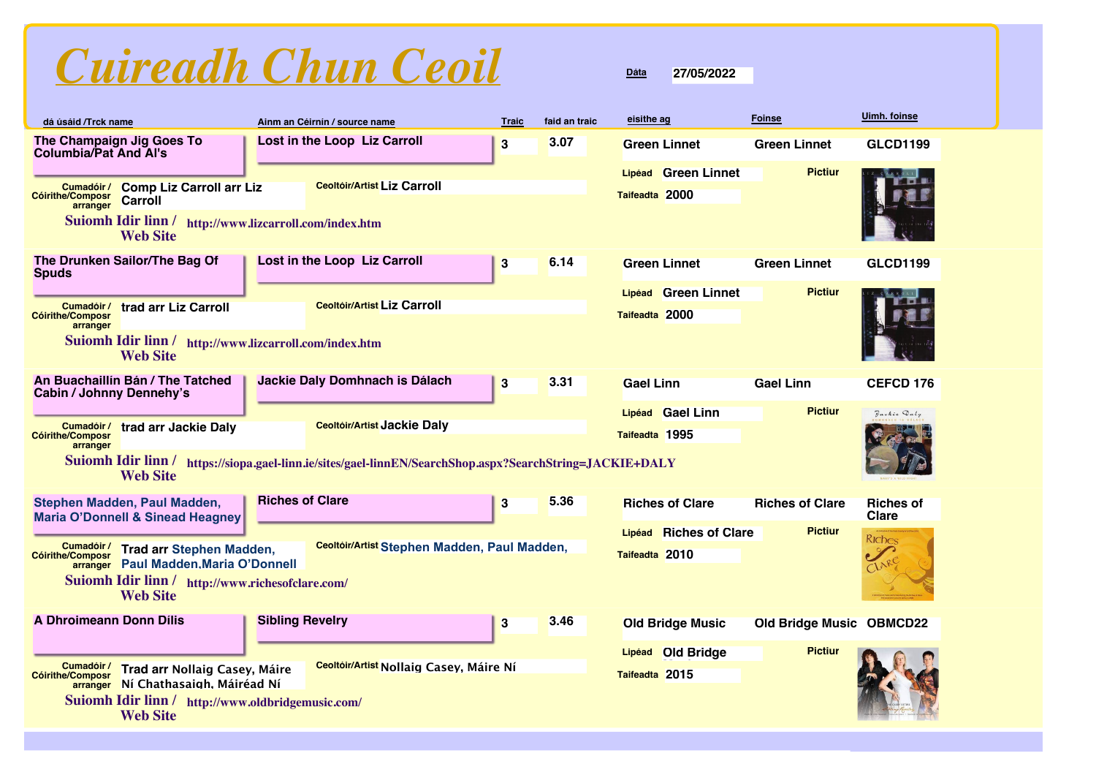

| dá úsáid /Trck name                               |                                                                             |                        | Ainm an Céirnín / source name                                                                            | <b>Traic</b> | faid an traic | eisithe ag       |                         | <b>Foinse</b>                   | <b>Uimh. foinse</b>       |
|---------------------------------------------------|-----------------------------------------------------------------------------|------------------------|----------------------------------------------------------------------------------------------------------|--------------|---------------|------------------|-------------------------|---------------------------------|---------------------------|
| <b>Columbia/Pat And Al's</b>                      | The Champaign Jig Goes To                                                   |                        | Lost in the Loop Liz Carroll                                                                             | 3            | 3.07          |                  | <b>Green Linnet</b>     | <b>Green Linnet</b>             | <b>GLCD1199</b>           |
|                                                   |                                                                             |                        |                                                                                                          |              |               |                  | Lipéad Green Linnet     | <b>Pictiur</b>                  |                           |
| Cumadóir /<br><b>Cóirithe/Composr</b><br>arranger | <b>Comp Liz Carroll arr Liz</b><br><b>Carroll</b>                           |                        | <b>Ceoltóir/Artist Liz Carroll</b>                                                                       |              |               | Taifeadta 2000   |                         |                                 |                           |
|                                                   | Suiomh Idir linn / http://www.lizcarroll.com/index.htm<br><b>Web Site</b>   |                        |                                                                                                          |              |               |                  |                         |                                 |                           |
| <b>Spuds</b>                                      | The Drunken Sailor/The Bag Of                                               |                        | Lost in the Loop Liz Carroll                                                                             | 3            | 6.14          |                  | <b>Green Linnet</b>     | <b>Green Linnet</b>             | <b>GLCD1199</b>           |
|                                                   |                                                                             |                        |                                                                                                          |              |               |                  | Lipéad Green Linnet     | <b>Pictiur</b>                  |                           |
| Cumadóir /<br><b>Cóirithe/Composr</b><br>arranger | <b>trad arr Liz Carroll</b>                                                 |                        | <b>Ceoltóir/Artist Liz Carroll</b>                                                                       |              |               | Taifeadta 2000   |                         |                                 |                           |
|                                                   | Suiomh Idir linn / http://www.lizcarroll.com/index.htm<br><b>Web Site</b>   |                        |                                                                                                          |              |               |                  |                         |                                 |                           |
| <b>Cabin / Johnny Dennehy's</b>                   | An Buachaillín Bán / The Tatched                                            |                        | Jackie Daly Domhnach is Dálach                                                                           | 3            | 3.31          | <b>Gael Linn</b> |                         | <b>Gael Linn</b>                | <b>CEFCD 176</b>          |
|                                                   |                                                                             |                        |                                                                                                          |              |               |                  | Lipéad Gael Linn        | <b>Pictiur</b>                  | Packie Daly               |
| Cumadóir /<br><b>Cóirithe/Composr</b>             | trad arr Jackie Daly                                                        |                        | <b>Ceoltóir/Artist Jackie Daly</b>                                                                       |              |               | Taifeadta 1995   |                         |                                 |                           |
| arranger                                          | <b>Web Site</b>                                                             |                        | Suiomh Idir linn / https://siopa.gael-linn.ie/sites/gael-linnEN/SearchShop.aspx?SearchString=JACKIE+DALY |              |               |                  |                         |                                 |                           |
|                                                   | Stephen Madden, Paul Madden,<br><b>Maria O'Donnell &amp; Sinead Heagney</b> | <b>Riches of Clare</b> |                                                                                                          | 3            | 5.36          |                  | <b>Riches of Clare</b>  | <b>Riches of Clare</b>          | <b>Riches of</b><br>Clare |
|                                                   |                                                                             |                        |                                                                                                          |              |               |                  | Lipéad Riches of Clare  | <b>Pictiur</b>                  | <b>Riches</b>             |
| Cumadóir /<br><b>Cóirithe/Composr</b>             | <b>Trad arr Stephen Madden,</b><br>Paul Madden. Maria O'Donnell             |                        | Ceoltóir/Artist Stephen Madden, Paul Madden,                                                             |              |               | Taifeadta 2010   |                         |                                 |                           |
| arranger                                          | Suiomh Idir linn / http://www.richesofclare.com/<br><b>Web Site</b>         |                        |                                                                                                          |              |               |                  |                         |                                 |                           |
| A Dhroimeann Donn Dílis                           |                                                                             | <b>Sibling Revelry</b> |                                                                                                          | $\bf{3}$     | 3.46          |                  | <b>Old Bridge Music</b> | <b>Old Bridge Music OBMCD22</b> |                           |
|                                                   |                                                                             |                        |                                                                                                          |              |               |                  | Lipéad Old Bridge       | <b>Pictiur</b>                  |                           |
| Cumadóir /<br><b>Cóirithe/Composr</b>             | Trad arr Nollaig Casey, Máire<br>arranger Ní Chathasaigh. Máiréad Ní        |                        | Ceoltóir/Artist Nollaig Casey, Máire Ní                                                                  |              |               | Taifeadta 2015   |                         |                                 |                           |
|                                                   | Suiomh Idir linn / http://www.oldbridgemusic.com/<br><b>Web Site</b>        |                        |                                                                                                          |              |               |                  |                         |                                 |                           |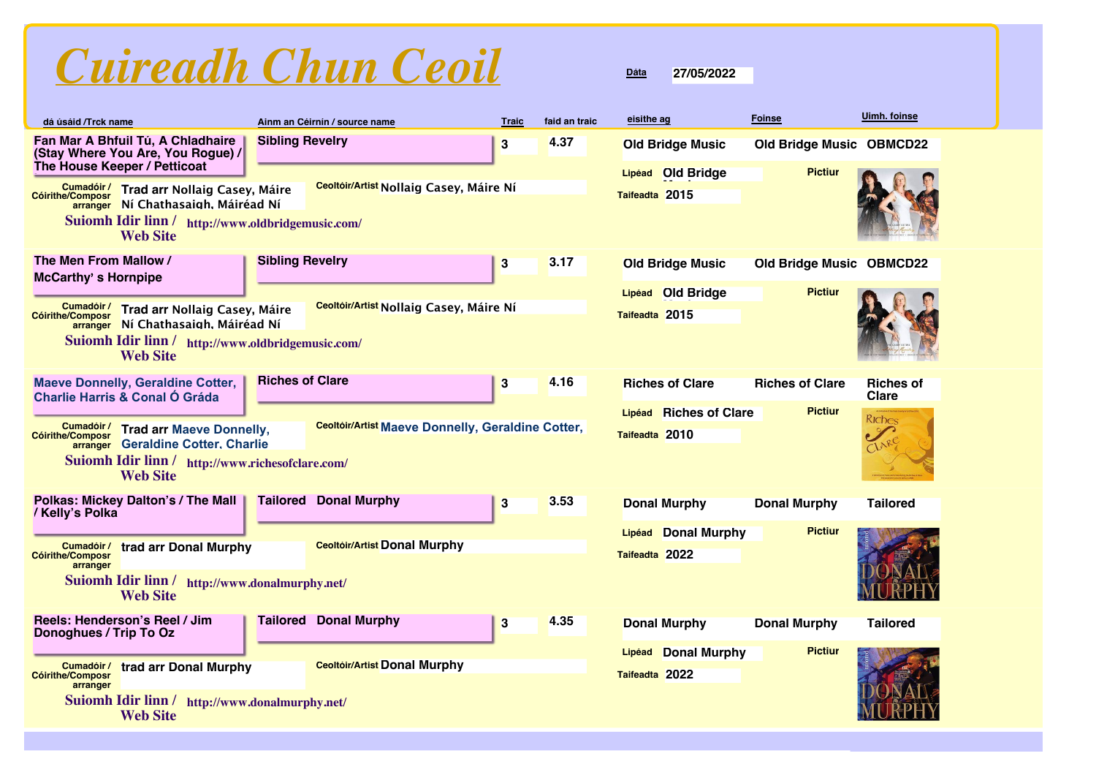

| dá úsáid /Trck name                                                                                                                                                                              | Ainm an Céirnín / source name                     | <b>Traic</b> | faid an traic | eisithe ag                                   | <b>Foinse</b>                   | Uimh. foinse                     |
|--------------------------------------------------------------------------------------------------------------------------------------------------------------------------------------------------|---------------------------------------------------|--------------|---------------|----------------------------------------------|---------------------------------|----------------------------------|
| Fan Mar A Bhfuil Tú, A Chladhaire<br>(Stay Where You Are, You Rogue) /<br>The House Keeper / Petticoat                                                                                           | <b>Sibling Revelry</b>                            | 3            | 4.37          | <b>Old Bridge Music</b>                      | <b>Old Bridge Music OBMCD22</b> |                                  |
| Cumadóir /<br>Trad arr Nollaig Casey, Máire<br><b>Cóirithe/Composr</b><br>Ní Chathasaigh. Máiréad Ní<br>arranger<br>Suiomh Idir linn / http://www.oldbridgemusic.com/<br><b>Web Site</b>         | Ceoltóir/Artist Nollaig Casey, Máire Ní           |              |               | Lipéad Old Bridge<br>Taifeadta 2015          | <b>Pictiur</b>                  |                                  |
| The Men From Mallow /<br><b>McCarthy's Hornpipe</b>                                                                                                                                              | <b>Sibling Revelry</b>                            | 3            | 3.17          | <b>Old Bridge Music</b>                      | <b>Old Bridge Music OBMCD22</b> |                                  |
| Cumadóir /<br>Trad arr Nollaig Casey, Máire<br><b>Cóirithe/Composr</b><br>Ní Chathasaigh. Máiréad Ní<br>arranger<br>Suiomh Idir linn / http://www.oldbridgemusic.com/<br><b>Web Site</b>         | Ceoltóir/Artist Nollaig Casey, Máire Ní           |              |               | Lipéad Old Bridge<br>Taifeadta 2015          | <b>Pictiur</b>                  |                                  |
| <b>Maeve Donnelly, Geraldine Cotter,</b><br><b>Charlie Harris &amp; Conal Ó Gráda</b>                                                                                                            | <b>Riches of Clare</b>                            | $\bf{3}$     | 4.16          | <b>Riches of Clare</b>                       | <b>Riches of Clare</b>          | <b>Riches of</b><br><b>Clare</b> |
| <b>Cumadóir /<br/>Cóirithe/Composr</b><br><b>Trad arr Maeve Donnelly,</b><br><b>Geraldine Cotter, Charlie</b><br>arranger<br>Suiomh Idir linn / http://www.richesofclare.com/<br><b>Web Site</b> | Ceoltóir/Artist Maeve Donnelly, Geraldine Cotter, |              |               | Lipéad Riches of Clare<br>Taifeadta 2010     | <b>Pictiur</b>                  | <b>Riches</b><br>CLARS           |
| <b>Polkas: Mickey Dalton's / The Mall</b><br>/ Kelly's Polka                                                                                                                                     | <b>Donal Murphy</b><br><b>Tailored</b>            | $\bf{3}$     | 3.53          | <b>Donal Murphy</b>                          | <b>Donal Murphy</b>             | <b>Tailored</b>                  |
| Cumadóir /<br>trad arr Donal Murphy<br><b>Cóirithe/Composr</b><br>arranger<br>Suiomh Idir linn / http://www.donalmurphy.net/                                                                     | <b>Ceoltóir/Artist Donal Murphy</b>               |              |               | <b>Lipéad</b> Donal Murphy<br>Taifeadta 2022 | <b>Pictiur</b>                  | <b>DOIALI</b>                    |
| <b>Web Site</b><br>Reels: Henderson's Reel / Jim                                                                                                                                                 | <b>Tailored Donal Murphy</b>                      | 3            | 4.35          | <b>Donal Murphy</b>                          | <b>Donal Murphy</b>             | <b>Tailored</b>                  |
| Donoghues / Trip To Oz                                                                                                                                                                           |                                                   |              |               | <b>Lipéad</b> Donal Murphy                   | <b>Pictiur</b>                  |                                  |
| trad arr Donal Murphy<br>Cumadóir /<br><b>Cóirithe/Composr</b><br>arranger                                                                                                                       | <b>Ceoltóir/Artist Donal Murphy</b>               |              |               | Taifeadta 2022                               |                                 |                                  |
| Suiomh Idir linn / http://www.donalmurphy.net/<br><b>Web Site</b>                                                                                                                                |                                                   |              |               |                                              |                                 |                                  |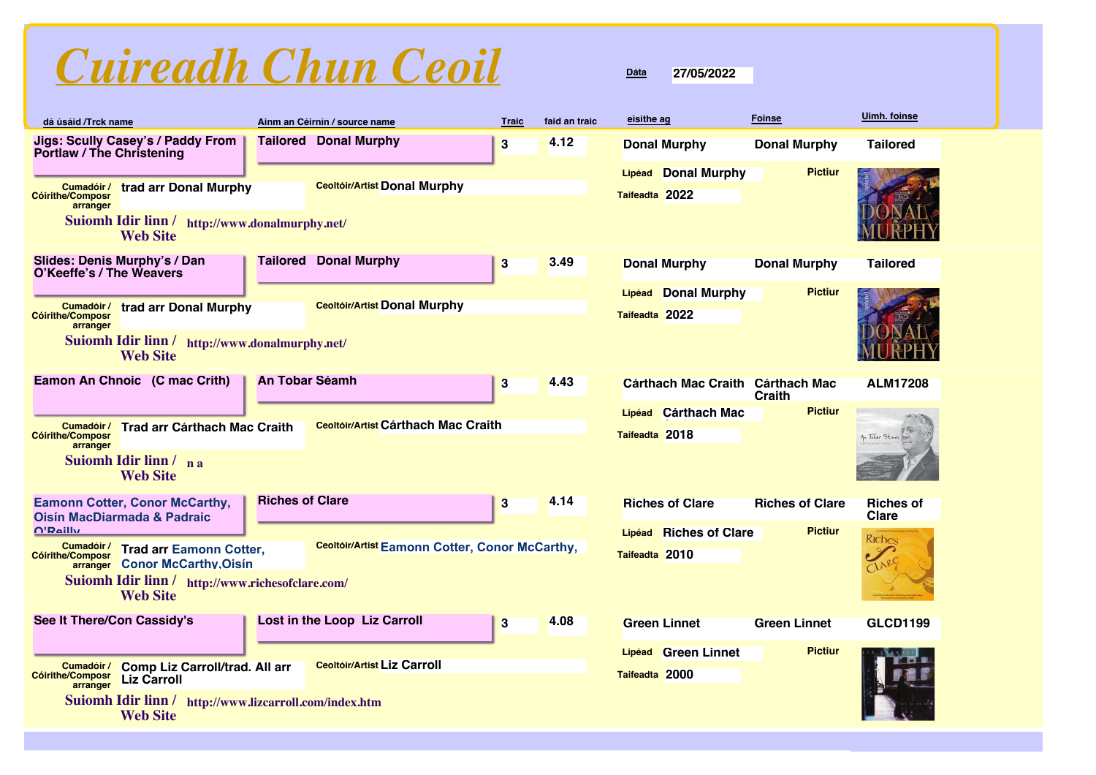

| dá úsáid /Trck name                                                                                                                                                                                                         | Ainm an Céirnín / source name                  | <b>Traic</b> | faid an traic | eisithe ag                               | <b>Foinse</b>          | <b>Uimh. foinse</b>              |
|-----------------------------------------------------------------------------------------------------------------------------------------------------------------------------------------------------------------------------|------------------------------------------------|--------------|---------------|------------------------------------------|------------------------|----------------------------------|
| <b>Jigs: Scully Casey's / Paddy From</b><br><b>Portlaw / The Christening</b>                                                                                                                                                | <b>Tailored Donal Murphy</b>                   | 3            | 4.12          | <b>Donal Murphy</b>                      | <b>Donal Murphy</b>    | <b>Tailored</b>                  |
| Cumadóir /<br>trad arr Donal Murphy<br><b>Cóirithe/Composr</b><br>arranger<br>Suiomh Idir linn / http://www.donalmurphy.net/<br><b>Web Site</b>                                                                             | <b>Ceoltóir/Artist Donal Murphy</b>            |              |               | Lipéad Donal Murphy<br>Taifeadta 2022    | <b>Pictiur</b>         |                                  |
| Slides: Denis Murphy's / Dan<br>O'Keeffe's / The Weavers                                                                                                                                                                    | <b>Donal Murphy</b><br>Tailored                | 3            | 3.49          | <b>Donal Murphy</b>                      | <b>Donal Murphy</b>    | <b>Tailored</b>                  |
| trad arr Donal Murphy<br>Cumadóir /<br><b>Cóirithe/Composr</b><br>arranger<br>Suiomh Idir linn / http://www.donalmurphy.net/                                                                                                | <b>Ceoltóir/Artist Donal Murphy</b>            |              |               | Lipéad Donal Murphy<br>Taifeadta 2022    | <b>Pictiur</b>         |                                  |
| <b>Web Site</b>                                                                                                                                                                                                             |                                                |              |               |                                          |                        |                                  |
| Eamon An Chnoic (C mac Crith)                                                                                                                                                                                               | <b>An Tobar Séamh</b>                          | $\bf{3}$     | 4.43          | Cárthach Mac Craith Cárthach Mac         | Craith                 | <b>ALM17208</b>                  |
| Cumadóir /<br><b>Trad arr Cárthach Mac Craith</b><br><b>Cóirithe/Composr</b><br>arranger<br>Suiomh Idir $\lim / \lim_{n \to \infty}$<br><b>Web Site</b>                                                                     | <b>Ceoltóir/Artist Cárthach Mac Craith</b>     |              |               | Lipéad Cárthach Mac<br>Taifeadta 2018    | <b>Pictiur</b>         | An Tobar Séimh                   |
| <b>Eamonn Cotter, Conor McCarthy,</b><br><b>Oisín MacDiarmada &amp; Padraic</b>                                                                                                                                             | <b>Riches of Clare</b>                         | 3            | 4.14          | <b>Riches of Clare</b>                   | <b>Riches of Clare</b> | <b>Riches of</b><br><b>Clare</b> |
| <b><i><u>O'Railly</u></i></b><br>Cumadóir /<br><b>Trad arr Eamonn Cotter,</b><br><b>Cóirithe/Composr</b><br><b>Conor McCarthy, Oisín</b><br>arranger<br>Suiomh Idir linn / http://www.richesofclare.com/<br><b>Web Site</b> | Ceoltóir/Artist Eamonn Cotter, Conor McCarthy, |              |               | Lipéad Riches of Clare<br>Taifeadta 2010 | <b>Pictiur</b>         | Riches                           |
| See It There/Con Cassidy's                                                                                                                                                                                                  | Lost in the Loop Liz Carroll                   | 3            | 4.08          | <b>Green Linnet</b>                      | <b>Green Linnet</b>    | <b>GLCD1199</b>                  |
| <b>Comp Liz Carroll/trad. All arr</b><br>Cumadóir /<br><b>Cóirithe/Composr</b><br><b>Liz Carroll</b><br>arranger                                                                                                            | <b>Ceoltóir/Artist Liz Carroll</b>             |              |               | Lipéad Green Linnet<br>Taifeadta 2000    | <b>Pictiur</b>         |                                  |
| Suiomh Idir linn / http://www.lizcarroll.com/index.htm<br><b>Web Site</b>                                                                                                                                                   |                                                |              |               |                                          |                        |                                  |